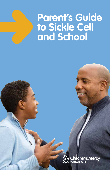# **Parent's Guide to Sickle Cell and School**

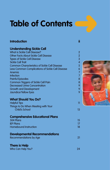# **Table of Contents**

#### **Introduction**

#### **Understanding Sickle Cell**

| <b>What is Sickle Cell Disease?</b>                  |
|------------------------------------------------------|
| Other Facts About Sickle Cell Disease                |
| <b>Types of Sickle Cell Disease</b>                  |
| <b>Sickle Cell Trait</b>                             |
| <b>Common Characteristics of Sickle Cell Disease</b> |
| Less Common Complications of Sickle Cell Disease     |
| Anemia                                               |
| Infection                                            |
| <b>Painful Episodes</b>                              |
| Common Triggers of Sickle Cell Pain                  |
| <b>Decreased Urine Concentration</b>                 |
| <b>Growth and Development</b>                        |
| Jaundice/Yellow Eyes                                 |
|                                                      |

#### **What Should You Do?**

Helpful Tips Things to Do When Meeting with Your Child's School

#### **Comprehensive Educational Plans**

| 15 |
|----|
|    |
| 18 |
|    |

### **Developmental Recommendations**

| Recommendations by Age |  |
|------------------------|--|
|------------------------|--|

#### **There is Help**

Who Can Help You?

**ii**

11

13

21

24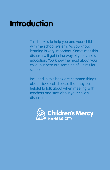# **Introduction**

This book is to help you and your child with the school system. As you know, learning is very important. Sometimes this disease will get in the way of your child's education. You know the most about your child, but here are some helpful hints for school.

Included in this book are common things about sickle cell disease that may be helpful to talk about when meeting with teachers and staff about your child's disease.

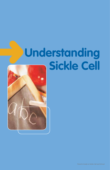# **Understanding Sickle Cell**

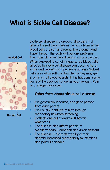# **What is Sickle Cell Disease?**

**Sickled Cell**



**Normal Cell**

Sickle cell disease is a group of disorders that affects the red blood cells in the body. Normal red blood cells are soft and round, like a donut, and travel through the body without any problems. The main job of red blood cells is to carry oxygen. When exposed to certain triggers, red blood cells affected by sickle cell disease can become hard, sticky and curved in shape, like a banana. Sickled cells are not as soft and flexible, so they may get stuck in small blood vessels. If this happens, some parts of the body do not get enough oxygen. Pain or damage may occur.

### **Other facts about sickle cell disease**

- It is genetically inherited, one gene passed from each parent.
- It is usually identified at birth through mandatory newborn screening.
- It affects one out of every 400 African Americans.
- The disease also affects people of Mediterranean, Caribbean and Asian descent.
- The disease is characterized by chronic anemia, increased susceptibility to infections and painful episodes.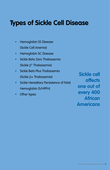# **Types of Sickle Cell Disease**

- Hemoglobin SS Disease (Sickle Cell Anemia)
- Hemoglobin SC Disease
- Sickle Beta Zero Thalassemia (Sickle β° Thalassemia)
- Sickle Beta Plus Thalassemia (Sickle β+ Thalassemia)
- Sickle Hereditary Persistence of Fetal Hemoglobin (S/HPFH)
- Other types

**Sickle cell affects one out of every 400 African Americans**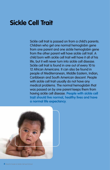# **Sickle Cell Trait**

Sickle cell trait is passed on from a child's parents. Children who get one normal hemoglobin gene from one parent and one sickle hemoglobin gene from the other parent will have sickle cell trait. A child born with sickle cell trait will have it all of his life, but it will never turn into sickle cell disease. Sickle cell trait is found in one out of every 10 to 12 African Americans. It can also be found in people of Mediterranean, Middle Eastern, Indian, Caribbean and South American descent. People with sickle cell trait usually do not have any medical problems. The normal hemoglobin that was passed on by one parent keeps them from having sickle cell disease. **People with sickle cell trait should live normal, healthy lives and have a normal life expectancy**.

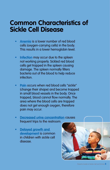## **Common Characteristics of Sickle Cell Disease**

- **Anemia** is a lower number of red blood cells (oxygen-carrying cells) in the body. This results in a lower hemoglobin level.
- **Infection** may occur due to the spleen not working properly. Sickled red blood cells get trapped in the spleen causing damage. The spleen normally filters bacteria out of the blood to help reduce infection.
- **Pain** occurs when red blood cells "sickle" (change their shape) and become trapped in small blood vessels in the body. Once trapped, blood cannot flow normally. The area where the blood cells are trapped does not get enough oxygen, therefore pain may occur.
- **Decreased urine concentration** causes frequent trips to the restroom.
- **Delayed growth and development** is common in children with sickle cell disease.

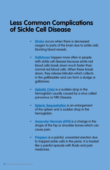## **Less Common Complications of Sickle Cell Disease**

- **Stroke** occurs when there is decreased oxygen to parts of the brain due to sickle cells blocking blood vessels.
- **Gallstones** happen more often in people with sickle cell disease because sickle red blood cells break down much faster than normal red blood cells. When these break down, they release bilirubin which collects in the gallbladder and can form a sludge or gallstones.
- **Aplastic Crisis** is a sudden drop in the hemoglobin usually caused by a virus called parvovirus or Fifth Disease.
- **Splenic Sequestration** is an enlargement of the spleen and a sudden drop in the hemoglobin.
- **Avascular Necrosis (AVN)** is a change in the shape of the hip or shoulder bones which can cause pain.
- **Priapism** is a painful, unwanted erection due to trapped sickle cells in the penis. It is treated like a painful episode with fluids and pain medicines.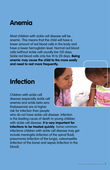## **Anemia**

Most children with sickle cell disease will be anemic. This means that the child will have a lower amount of red blood cells in the body and have a lower hemoglobin level. Normal red blood cells (without sickle cell) usually live 120 days. Sickle red blood cells only live 10 to 20 days. **Being anemic may cause the child to tire more easily and need to rest more frequently.**

## **Infection**

Children with sickle cell disease (especially sickle cell anemia and sickle beta zero thalassemia) are at higher risk for infection than people

who do not have sickle cell disease. Infection is the leading cause of death in young children with sickle cell disease. **It is very important for infections to be treated quickly**. Some common infections children with sickle cell disease may get include meningitis (infection of the spinal fluid), pneumonia (infection of the lungs), osteomyelitis (infection of the bone) and sepsis (infection in the blood).

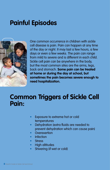# **Painful Episodes**



One common occurrence in children with sickle cell disease is pain. Pain can happen at any time of the day or night. It may last a few hours, a few days or even a few weeks. The pain can range from mild to severe and is different in each child. Sickle cell pain can be anywhere in the body, but the most common sites are the arms, legs, back and stomach. **Some pain can be treated at home or during the day at school, but sometimes the pain becomes severe enough to need hospitalization.**

## **Common Triggers of Sickle Cell Pain:**

- Exposure to extreme hot or cold temperatures
- Dehydration (extra fluids are needed to prevent dehydration which can cause pain)
- **Overexertion**
- **Infection**
- **Stress**
- High altitudes
- Shivering (if wet or cold)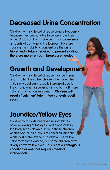# **Decreased Urine Concentration**

Children with sickle cell disease urinate frequently because they are not able to concentrate their urine. Occlusion from sickle cells may cause small amounts of damage to the kidneys, therefore causing the inability to concentrate the urine. **More fluid intake is required to prevent sickling, therefore more restroom breaks are needed.**

## **Growth and Development**

Children with sickle cell disease may be thinner and smaller than other children their age. The child's metabolism is usually increased due to the chronic anemia causing him to burn off more calories and put on less weight. **Children will usually "catch up" later in teen or early adult years**.

## **Jaundice/Yellow Eyes**

Children with sickle cell disease sometimes have yellowing of the eyes. Red blood cells in the body break down quickly in these children. As this occurs, bilirubin is released causing the white part of the eye to turn yellow. The yellow color may come and go, but some children may always have yellow eyes. **This is not a contagious condition or one that requires medical intervention.**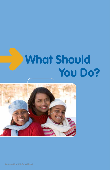# **What Should You Do?**

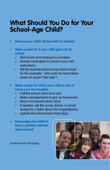## **What Should You Do for Your School-Age Child?**

- **• Discuss your child's illness with his teacher.**
- **• Make a plan for if your child gets sick at school:**
	- » Give home and emergency numbers.
	- » Provide medication to school nurse with **instructions**
	- » Tell the teacher/school nurse what to look for (for example, "John puts his head down when he doesn't feel well.")
- **• Make a plan for when your child is sick at home or in the hospital:**
	- » Call the school when he is sick.
	- » Make arrangements to pick up homework.
	- » Return homework when done.
	- » If needed, ask the nurse, doctor, or social worker for a letter about the hospitalization.
	- » Update the school every three days.
- **• Encourage your child to have a positive attitude about school.**

(continued on next page)

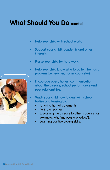## **What Should You Do (cont'd)**

- **• Help your child with school work.**
- **• Support your child's academic and other interests.**
- **• Praise your child for hard work.**
- **• Help your child know who to go to if he has a problem (i.e. teacher, nurse, counselor).**
- **• Encourage open, honest communication about the disease, school performance and peer relationships.**
- **• Teach your child how to deal with school bullies and teasing by:**
	- » Ignoring hurtful statements.
	- » Telling a teacher.
	- » Explaining the disease to other students (for example: why "my eyes are yellow").
	- » Learning positive coping skills.

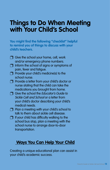## **Things to Do When Meeting with Your Child's School**

**You might find the following "checklist" helpful to remind you of things to discuss with your child's teachers.**

- $\Box$  Give the school your home, cell, work and/or emergency phone numbers.
- $\Box$  Inform the school of signs or symptoms of pain, fever and fatigue.
- **Provide your child's medicine(s) to the** school nurse.
- **Provide a letter from your child's doctor or** nurse stating that the child can take the medications you brought from home.
- $\Box$  Give the school the Educator's Guide to Sickle Cell and School or a letter from your child's doctor describing your child's medical needs.
- $\Box$  Plan a meeting with your child's school to talk to them about sickle cell disease.
- $\Box$  If your child has difficulty walking to the school bus stop, plan a meeting with the school nurse to arrange door-to-door transportation.

## **Ways You Can Help Your Child**

Creating a unique educational plan can assist in your child's academic success.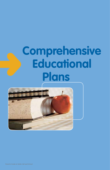# **Comprehensive Educational Plans**

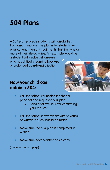# **504 Plans**

A 504 plan protects students with disabilities from discrimination. The plan is for students with physical and mental impairments that limit one or more of their life activities. An example would be

a student with sickle cell disease who has difficulty learning because of prolonged pain/hospitalization.

## **How your child can obtain a 504:**



- Call the school counselor, teacher or principal and request a 504 plan.
	- » Send a follow-up letter confirming your request.
- Call the school in two weeks after a verbal or written request has been made.
- Make sure the 504 plan is completed in writing.
- Make sure each teacher has a copy.

(continued on next page)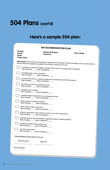## **504 Plans (cont'd)**

## **Here's a sample 504 plan:**

|                                                                                        | <b>504 ACCOMMODATION PLAN</b>                                                 |                                                                                                          |
|----------------------------------------------------------------------------------------|-------------------------------------------------------------------------------|----------------------------------------------------------------------------------------------------------|
| Student:<br>School:<br>Grade:<br><b>Today's Date:</b>                                  | <b>Student ID Number:</b><br>Teacher(s):                                      | Date of Birth:                                                                                           |
|                                                                                        | will be initiated/completed to adapt to the student's area(s) of concern:     | Instructions: Check the accommodations required for the student. Indicate the date(s) the accommodations |
| Date Initiated_______ Date Completed______                                             | evaluate on mastery of subject instead of the number of assignments completed |                                                                                                          |
| provide/assign a peer note taker<br>Date Initiated_______ Date Completed_______        |                                                                               |                                                                                                          |
| Date Initiated_______ Date Completed_                                                  | provide extra time to complete assignments including time after the quarter   |                                                                                                          |
| provide a second set of books for home<br>Date Initiated________ Date Completed_______ |                                                                               |                                                                                                          |
| modify tests as needed<br>Date Initiated________ Date Completed______                  |                                                                               |                                                                                                          |
| Date Initiated________ Date Completed______                                            | provide weekly assignments in an assignment book                              |                                                                                                          |
| allow restroom breaks as needed<br>Date Initiated_______ Date Completed______          |                                                                               |                                                                                                          |
| allow a water bottle at all times<br>Date Initiated________ Date Completed_____        |                                                                               |                                                                                                          |
| Date Initiated_______ Date Completed_                                                  | allow an open pass to the school nurse for rest and/or medications            |                                                                                                          |
| Date Initiated________ Date Completed________                                          | provide teachers with information regarding student's health problems         |                                                                                                          |
| modify the length of the assignments<br>Date Initiated_______ Date Completed______     |                                                                               |                                                                                                          |
| provide study guides<br>Date Initiated________ Date Completed_______                   |                                                                               |                                                                                                          |
| TEAM MEMBERS DEVELOPING THE PLAN                                                       |                                                                               |                                                                                                          |
| Name/Position                                                                          | Signature                                                                     |                                                                                                          |
| Review Date(s)                                                                         |                                                                               |                                                                                                          |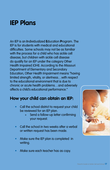## **IEP Plans**

An IEP is an **I**ndividualized **E**ducation **P**rogram. The IEP is for students with medical and educational difficulties. Some schools may not be as familiar with the process for a child who has sickle cell disease, but children with sickle cell disease do qualify for an IEP under the category Other Health Impaired (OHI). According to the Missouri Department of Elementary and Secondary Education, Other Health Impairment means "having limited strength, vitality, or alertness…with respect to the educational environment that is due to chronic or acute health problems…and adversely affects a child's educational performance."

## **How your child can obtain an IEP:**

- Call the school district to request your child be reviewed for an IEP plan.
	- » Send a follow-up letter confirming your request.
- Call the school in two weeks after a verbal or written request has been made.
- Make sure the IEP plan is completed in writing.
- Make sure each teacher has as copy.

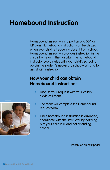# **Homebound Instruction**

Homebound instruction is a portion of a 504 or IEP plan. Homebound instruction can be utilized when your child is frequently absent from school. Homebound instruction provides instruction in the child's home or in the hospital. The homebound instructor coordinates with your child's school to obtain the student's necessary schoolwork and to assist with instruction.

## **How your child can obtain Homebound Instruction:**

- Discuss your request with your child's sickle cell team.
- The team will complete the Homebound request form.
- Once homebound instruction is arranged, coordinate with the instructor by notifying him your child is ill and not attending school.

(continued on next page)

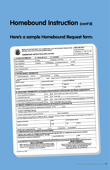## **Homebound Instruction (cont'd)**

## **Here's a sample Homebound Request form:**

|                      |                                                                                                                       |              |                                                             | MISSOURI DEPARTMENT OF ELEMENTARY AND SECONDARY EDUCATION<br>SPECIAL EDUCATION-FUNDS MANAGEMENT<br>HOMEBOUND INSTRUCTION APPLICATION                                                                                  |       |                                                     |              |                              |   | DESE USE ONLY<br>DATE RECEIVED:<br>APPROVED □ YES □ NO<br># OF WEEKS APPROVED                                                                                                                                                                                                                                                                                                                                                                                                    |
|----------------------|-----------------------------------------------------------------------------------------------------------------------|--------------|-------------------------------------------------------------|-----------------------------------------------------------------------------------------------------------------------------------------------------------------------------------------------------------------------|-------|-----------------------------------------------------|--------------|------------------------------|---|----------------------------------------------------------------------------------------------------------------------------------------------------------------------------------------------------------------------------------------------------------------------------------------------------------------------------------------------------------------------------------------------------------------------------------------------------------------------------------|
|                      | I. STUDENT INFORMATION                                                                                                |              |                                                             | Student with an IEP                                                                                                                                                                                                   |       | Nondisabled                                         |              | $\overline{\mathbf{c}}$<br>1 | 3 |                                                                                                                                                                                                                                                                                                                                                                                                                                                                                  |
| Date of Application: |                                                                                                                       |              | $\Box$ Initial                                              |                                                                                                                                                                                                                       |       | Extension (Circle One)                              |              | $\Box$ Other:                |   |                                                                                                                                                                                                                                                                                                                                                                                                                                                                                  |
| Type of Application: |                                                                                                                       |              | □ Medical                                                   | Reevaluation                                                                                                                                                                                                          |       | Suspension/Expulsion                                |              | Grade:                       |   |                                                                                                                                                                                                                                                                                                                                                                                                                                                                                  |
| Name of Student:     |                                                                                                                       |              |                                                             |                                                                                                                                                                                                                       |       | DOB:                                                |              |                              |   |                                                                                                                                                                                                                                                                                                                                                                                                                                                                                  |
|                      | Name of Parent/Guardian:                                                                                              |              |                                                             |                                                                                                                                                                                                                       |       |                                                     |              |                              |   |                                                                                                                                                                                                                                                                                                                                                                                                                                                                                  |
| Home Address:        |                                                                                                                       |              |                                                             |                                                                                                                                                                                                                       |       |                                                     |              |                              |   |                                                                                                                                                                                                                                                                                                                                                                                                                                                                                  |
|                      | <b>II. SCHOOL DISTRICT INFORMATION</b>                                                                                |              |                                                             | Home teaching                                                                                                                                                                                                         |       | Other:                                              |              |                              |   |                                                                                                                                                                                                                                                                                                                                                                                                                                                                                  |
|                      | 1. Teaching completed by:                                                                                             | $\Box$ Phone |                                                             |                                                                                                                                                                                                                       |       |                                                     |              |                              |   | weeks (length of service must be given in weeks; if less than 9, DESE Approval Not                                                                                                                                                                                                                                                                                                                                                                                               |
| Needed)              | 2. Estimated total length of homebound services:                                                                      |              |                                                             |                                                                                                                                                                                                                       |       |                                                     |              | Area(s) of Certification     |   |                                                                                                                                                                                                                                                                                                                                                                                                                                                                                  |
| Name of Teacher      |                                                                                                                       |              |                                                             | Social Security Number                                                                                                                                                                                                |       |                                                     |              |                              |   | Fax                                                                                                                                                                                                                                                                                                                                                                                                                                                                              |
|                      | Legal Name of Educational Agency                                                                                      |              |                                                             | <b>District Contact Person</b>                                                                                                                                                                                        |       |                                                     |              | Telephone                    |   |                                                                                                                                                                                                                                                                                                                                                                                                                                                                                  |
| Address              |                                                                                                                       |              |                                                             | City                                                                                                                                                                                                                  |       |                                                     | <b>State</b> |                              |   | Zip Code                                                                                                                                                                                                                                                                                                                                                                                                                                                                         |
|                      |                                                                                                                       |              |                                                             |                                                                                                                                                                                                                       |       |                                                     |              |                              |   | III. EDUCATIONAL INFORMATION (To be completed by DirectoriCoordinator of Special Services) (N/A if Medical, complete Section IV)                                                                                                                                                                                                                                                                                                                                                 |
|                      |                                                                                                                       |              |                                                             | $\Box$ Yes                                                                                                                                                                                                            |       | No (If yes, enclose copy of Notice of Reevaluation) |              |                              |   |                                                                                                                                                                                                                                                                                                                                                                                                                                                                                  |
|                      | 1. Are you requesting a reevaluation?                                                                                 |              |                                                             | $\square$ Yes                                                                                                                                                                                                         | ⊟ No  | (if yes, date:                                      |              |                              |   |                                                                                                                                                                                                                                                                                                                                                                                                                                                                                  |
|                      | 2. Has the IEP Team met?                                                                                              |              |                                                             | $\Box$ Yes                                                                                                                                                                                                            |       |                                                     |              |                              |   | □ No (If yes, enclose copy of Change of Placement and Manifestation Determination)                                                                                                                                                                                                                                                                                                                                                                                               |
|                      | 3. Has this student been suspended or expelled?<br>4. Is this student not attending due to a court injunction? [] Yes |              |                                                             |                                                                                                                                                                                                                       |       | No (If yes, attach copy of court order)             |              |                              |   |                                                                                                                                                                                                                                                                                                                                                                                                                                                                                  |
|                      |                                                                                                                       |              |                                                             | IV. MEDICAL INFORMATION (To be completed by Physician) (N/A if Educational, complete Section III)                                                                                                                     |       |                                                     |              |                              |   |                                                                                                                                                                                                                                                                                                                                                                                                                                                                                  |
|                      |                                                                                                                       |              |                                                             | 1. Does condition prevent student from maintaining school schedule? [ ] Yes                                                                                                                                           |       |                                                     | $\square$ No |                              |   |                                                                                                                                                                                                                                                                                                                                                                                                                                                                                  |
|                      | 2. Medical or Psychological Diagnosis:<br>If pregnant, please indicate due date:                                      |              |                                                             |                                                                                                                                                                                                                       |       |                                                     |              |                              |   |                                                                                                                                                                                                                                                                                                                                                                                                                                                                                  |
|                      | 3. Number of weeks student will require hornebound:                                                                   |              |                                                             |                                                                                                                                                                                                                       |       | Date of hospitalization:                            |              |                              |   |                                                                                                                                                                                                                                                                                                                                                                                                                                                                                  |
|                      |                                                                                                                       |              |                                                             | entry of the student into regular school environment as soon as possible.)                                                                                                                                            |       |                                                     |              |                              |   | 4. Recommendations and explanations of diagnosis: (NOTE: In the case of emotional disorders, a treatment plan should be designed to encourage the re-                                                                                                                                                                                                                                                                                                                            |
|                      | Signature of Physician                                                                                                |              |                                                             |                                                                                                                                                                                                                       | Date  |                                                     |              | Print Physician's Name       |   |                                                                                                                                                                                                                                                                                                                                                                                                                                                                                  |
|                      | Address of Physician                                                                                                  |              |                                                             |                                                                                                                                                                                                                       | State |                                                     |              | Zip                          |   | Phone                                                                                                                                                                                                                                                                                                                                                                                                                                                                            |
|                      |                                                                                                                       |              |                                                             |                                                                                                                                                                                                                       |       | Psychiatrist                                        |              | Psychologist                 |   |                                                                                                                                                                                                                                                                                                                                                                                                                                                                                  |
|                      | Indicate Area of Licensed Specialty:                                                                                  |              | $\square$ M.D.                                              | $\Box$ D.O.                                                                                                                                                                                                           |       |                                                     |              |                              |   |                                                                                                                                                                                                                                                                                                                                                                                                                                                                                  |
|                      |                                                                                                                       |              |                                                             | V. CERTIFICATION (To be completed by the School District)                                                                                                                                                             |       |                                                     |              |                              |   | I CERTIFY THAT A NEED FOR HOMEBOUND SERVICE EXISTS AND THE PROVISION OF HOMEBOUND INSTRUCTION IS THE MOST                                                                                                                                                                                                                                                                                                                                                                        |
|                      |                                                                                                                       |              |                                                             | APPROPRIATE EDUCATIONAL ALTERNATIVE AT THIS TIME.                                                                                                                                                                     |       | County/ District Code                               |              |                              |   | Date                                                                                                                                                                                                                                                                                                                                                                                                                                                                             |
|                      | Superintendent or Authorized Representative                                                                           |              |                                                             |                                                                                                                                                                                                                       |       |                                                     |              |                              |   |                                                                                                                                                                                                                                                                                                                                                                                                                                                                                  |
|                      |                                                                                                                       |              | <b>MEDICAL PERSONNEL</b><br>environment as soon as possible | Mail or fax form to the school district where the child is enrolled.<br>NOTE: In the case of emotional disorders, a treatment plan should be<br>designed to encourage the re-entry of the student into regular school |       |                                                     |              |                              |   | The cistrict must maintain a copy of the systement on in for a period of 5 years. These spaces that he monitored see part of the devices Special to the district special to the district conditions of the period of the perio<br>Mail or fax completed form to:<br>Missouri Department of Elementary and Secondary Education<br>Division of Special Education, Funds Management Section<br>PO BOX 480, Jefferson City, MO 65102-0480<br>Office: 573-751-0622- Fax: 573-526-4404 |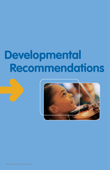# **Developmental Recommendations**

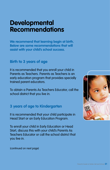## **Developmental Recommendations**

**We recommend that learning begin at birth. Below are some recommendations that will assist with your child's school success.**

### **Birth to 3 years of age**

It is recommended that you enroll your child in Parents as Teachers. Parents as Teachers is an early education program that provides specially trained parent educators.

To obtain a Parents As Teachers Educator, call the school district that you live in.

## **3 years of age to Kindergarten**

It is recommended that your child participate in Head Start or an Early Education Program.

To enroll your child in Early Education or Head Start, discuss this with your child's Parents As Teachers Educator or call the school district that you live in.



(continued on next page)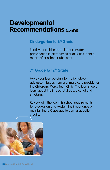## **Developmental Recommendations (cont'd)**

### **Kindergarten to 6<sup>th</sup> Grade**

Enroll your child in school and consider participation in extracurricular activities (dance, music, after-school clubs, etc.).

### **7<sup>th</sup> Grade to 12<sup>th</sup> Grade**

Have your teen obtain information about adolescent issues from a primary care provider or the Children's Mercy Teen Clinic. The teen should learn about the impact of drugs, alcohol and smoking.

Review with the teen his school requirements for graduation and explain the importance of maintaining a C average to earn graduation credits.

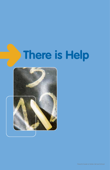# **There is Help**

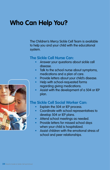# **Who Can Help You?**

The Children's Mercy Sickle Cell Team is available to help you and your child with the educational system.

#### **The Sickle Cell Nurse Can:**

- Answer your questions about sickle cell disease.
- Talk to the school nurse about symptoms, medications and a plan of care.
- Provide letters about your child's disease.
- Help with school-requested forms regarding giving medications.
- Assist with the development of a 504 or IEP plan.

### **The Sickle Cell Social Worker Can:**

- Explain the 504 or IEP process.
- Coordinate with school representatives to develop 504 or IEP plans.
- Attend school meetings as needed.
- Provide letters for missed school days when your child is hospitalized.
- Assist children with the emotional stress of school and peer relationships.